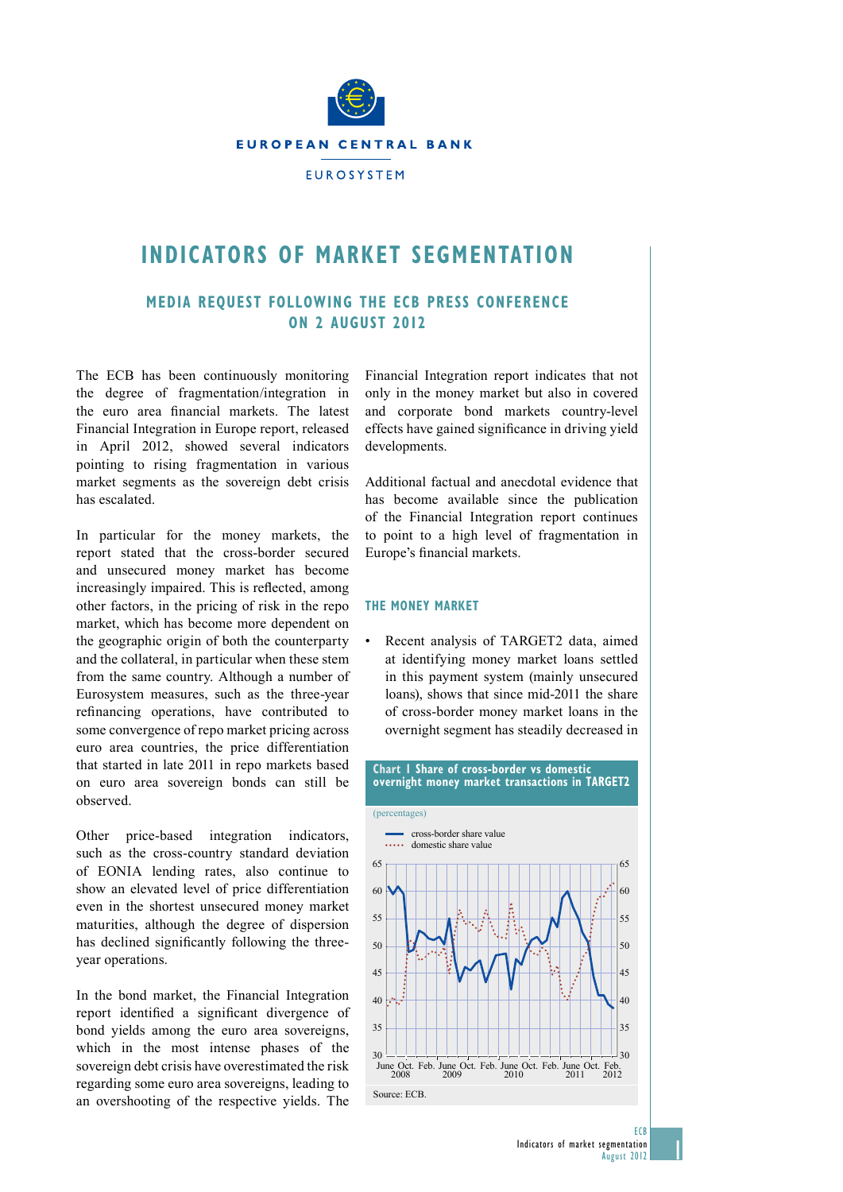

# **indiCaTors of markeT segmenTaTion**

# **media reQuesT folloWing The eCb Press ConferenCe on 2 augusT 2012**

The ECB has been continuously monitoring the degree of fragmentation/integration in the euro area financial markets. The latest Financial Integration in Europe report, released in April 2012, showed several indicators pointing to rising fragmentation in various market segments as the sovereign debt crisis has escalated.

In particular for the money markets, the report stated that the cross-border secured and unsecured money market has become increasingly impaired. This is reflected, among other factors, in the pricing of risk in the repo market, which has become more dependent on the geographic origin of both the counterparty and the collateral, in particular when these stem from the same country. Although a number of Eurosystem measures, such as the three-year refinancing operations, have contributed to some convergence of repo market pricing across euro area countries, the price differentiation that started in late 2011 in repo markets based on euro area sovereign bonds can still be observed. 

Other price-based integration indicators, such as the cross-country standard deviation of EONIA lending rates, also continue to show an elevated level of price differentiation even in the shortest unsecured money market maturities, although the degree of dispersion has declined significantly following the threeyear operations.

In the bond market, the Financial Integration report identified a significant divergence of bond yields among the euro area sovereigns, which in the most intense phases of the sovereign debt crisis have overestimated the risk regarding some euro area sovereigns, leading to an overshooting of the respective yields. The

Financial Integration report indicates that not only in the money market but also in covered and corporate bond markets country-level effects have gained significance in driving yield developments. 

Additional factual and anecdotal evidence that has become available since the publication of the Financial Integration report continues to point to a high level of fragmentation in Europe's financial markets.

#### **The moneY markeT**

Recent analysis of TARGET2 data, aimed at identifying money market loans settled in this payment system (mainly unsecured loans), shows that since mid-2011 the share of cross-border money market loans in the overnight segment has steadily decreased in



1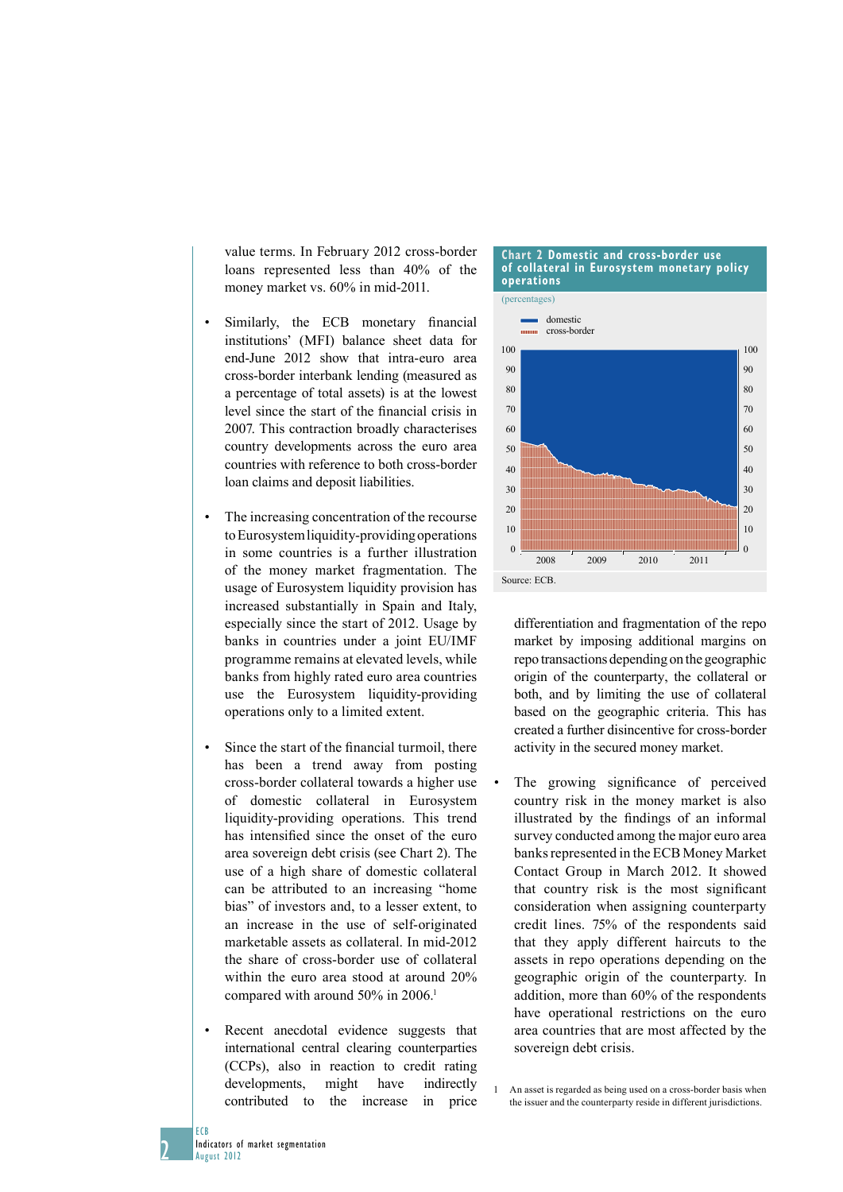value terms. In February 2012 cross-border loans represented less than 40% of the money market vs. 60% in mid-2011.

- Similarly, the ECB monetary financial institutions' (MFI) balance sheet data for end-June 2012 show that intra-euro area cross-border interbank lending (measured as a percentage of total assets) is at the lowest level since the start of the financial crisis in 2007. This contraction broadly characterises country developments across the euro area countries with reference to both cross-border loan claims and deposit liabilities.
- • The increasing concentration of the recourse to Eurosystem liquidity-providing operations in some countries is a further illustration of the money market fragmentation. The usage of Eurosystem liquidity provision has increased substantially in Spain and Italy, especially since the start of 2012. Usage by banks in countries under a joint EU/IMF programme remains at elevated levels, while banks from highly rated euro area countries use the Eurosystem liquidity-providing operations only to a limited extent.
- Since the start of the financial turmoil, there has been a trend away from posting cross-border collateral towards a higher use of domestic collateral in Eurosystem liquidity-providing operations. This trend has intensified since the onset of the euro area sovereign debt crisis (see Chart 2). The use of a high share of domestic collateral can be attributed to an increasing "home bias" of investors and, to a lesser extent, to an increase in the use of self-originated marketable assets as collateral. In mid-2012 the share of cross-border use of collateral within the euro area stood at around 20% compared with around 50% in 2006.<sup>1</sup>
- Recent anecdotal evidence suggests that international central clearing counterparties (CCPs), also in reaction to credit rating developments, might have indirectly contributed to the increase in price

#### **Chart 2 domestic and cross-border use of collateral in eurosystem monetary policy operations**



differentiation and fragmentation of the repo market by imposing additional margins on repo transactions depending on the geographic origin of the counterparty, the collateral or both, and by limiting the use of collateral based on the geographic criteria. This has created a further disincentive for cross-border activity in the secured money market.

- The growing significance of perceived country risk in the money market is also illustrated by the findings of an informal survey conducted among the major euro area banks represented in the ECB Money Market Contact Group in March 2012. It showed that country risk is the most significant consideration when assigning counterparty credit lines. 75% of the respondents said that they apply different haircuts to the assets in repo operations depending on the geographic origin of the counterparty. In addition, more than 60% of the respondents have operational restrictions on the euro area countries that are most affected by the sovereign debt crisis.
- 1 An asset is regarded as being used on a cross-border basis when the issuer and the counterparty reside in different jurisdictions.

2

ECB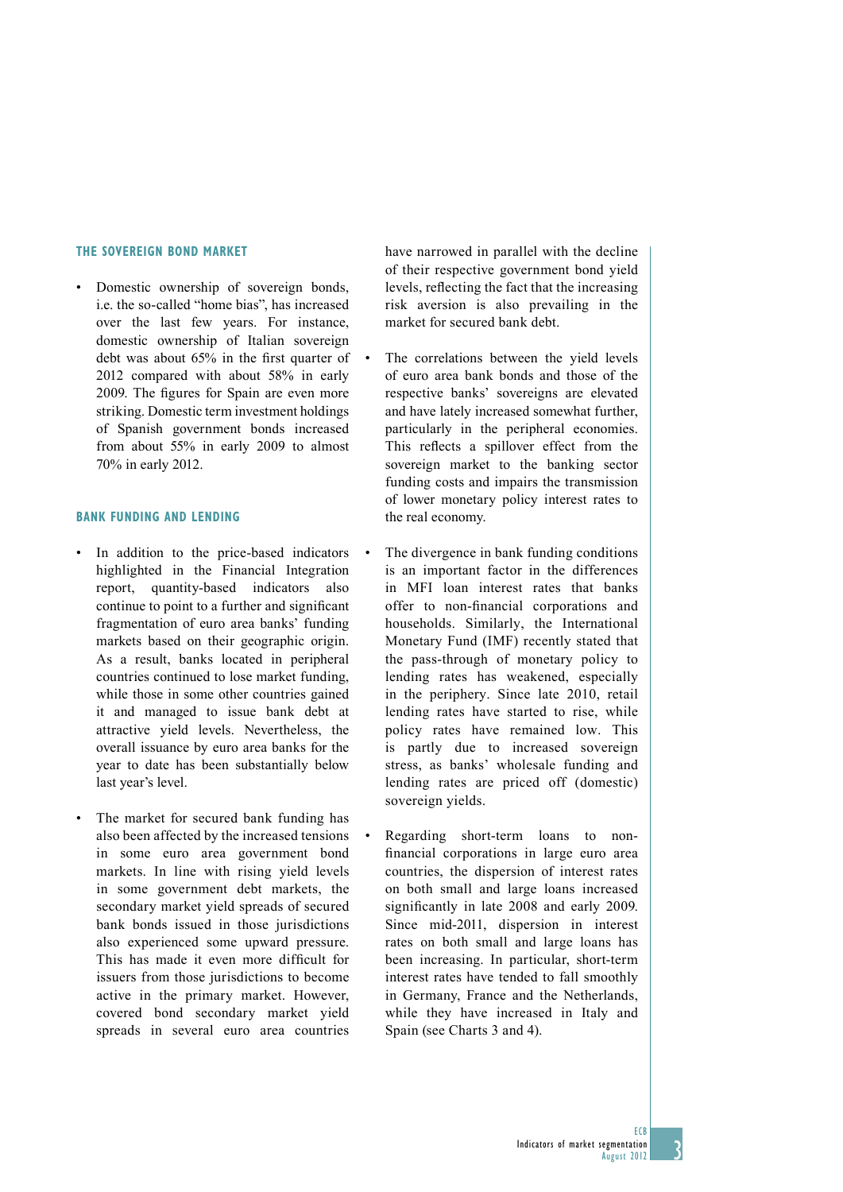### **The sovereign bond market**

Domestic ownership of sovereign bonds, i.e. the so-called "home bias", has increased over the last few years. For instance domestic ownership of Italian sovereign debt was about 65% in the first quarter of 2012 compared with about 58% in early 2009. The figures for Spain are even more striking. Domestic term investment holdings of Spanish government bonds increased from about 55% in early 2009 to almost 70% in early 2012.

## **Bank funding and lending**

- In addition to the price-based indicators highlighted in the Financial Integration report, quantity-based indicators also continue to point to a further and significant fragmentation of euro area banks' funding markets based on their geographic origin. As a result, banks located in peripheral countries continued to lose market funding, while those in some other countries gained it and managed to issue bank debt at attractive yield levels. Nevertheless, the overall issuance by euro area banks for the year to date has been substantially below last year's level.
- The market for secured bank funding has also been affected by the increased tensions in some euro area government bond markets. In line with rising yield levels in some government debt markets, the secondary market yield spreads of secured bank bonds issued in those jurisdictions also experienced some upward pressure. This has made it even more difficult for issuers from those jurisdictions to become active in the primary market. However, covered bond secondary market yield spreads in several euro area countries

have narrowed in parallel with the decline of their respective government bond yield levels, reflecting the fact that the increasing risk aversion is also prevailing in the market for secured bank debt.

- The correlations between the yield levels of euro area bank bonds and those of the respective banks' sovereigns are elevated and have lately increased somewhat further, particularly in the peripheral economies. This reflects a spillover effect from the sovereign market to the banking sector funding costs and impairs the transmission of lower monetary policy interest rates to the real economy.
- The divergence in bank funding conditions is an important factor in the differences in MFI loan interest rates that banks offer to non-financial corporations and households. Similarly, the International Monetary Fund (IMF) recently stated that the pass-through of monetary policy to lending rates has weakened, especially in the periphery. Since late 2010, retail lending rates have started to rise, while policy rates have remained low. This is partly due to increased sovereign stress, as banks' wholesale funding and lending rates are priced off (domestic) sovereign yields.
- Regarding short-term loans to nonfinancial corporations in large euro area countries, the dispersion of interest rates on both small and large loans increased significantly in late 2008 and early 2009. Since mid-2011, dispersion in interest rates on both small and large loans has been increasing. In particular, short-term interest rates have tended to fall smoothly in Germany, France and the Netherlands, while they have increased in Italy and Spain (see Charts 3 and 4).

3

ECB